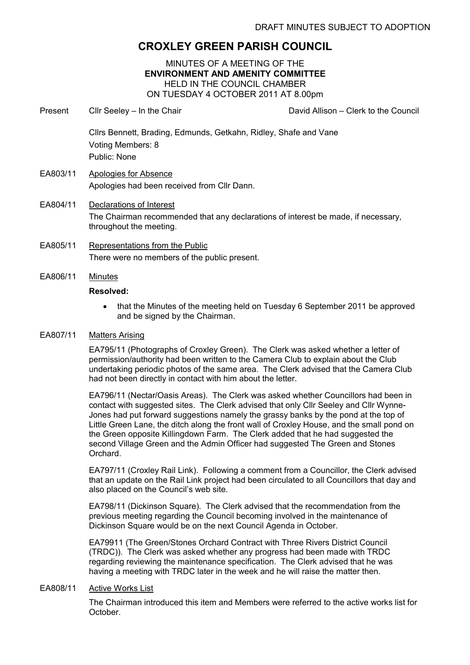# CROXLEY GREEN PARISH COUNCIL

# MINUTES OF A MEETING OF THE ENVIRONMENT AND AMENITY COMMITTEE HELD IN THE COUNCIL CHAMBER ON TUESDAY 4 OCTOBER 2011 AT 8.00pm

- Present Cllr Seeley In the Chair David Allison Clerk to the Council Cllrs Bennett, Brading, Edmunds, Getkahn, Ridley, Shafe and Vane Voting Members: 8 Public: None EA803/11 Apologies for Absence Apologies had been received from Cllr Dann.
- EA804/11 Declarations of Interest The Chairman recommended that any declarations of interest be made, if necessary, throughout the meeting.
- EA805/11 Representations from the Public There were no members of the public present.
- EA806/11 Minutes

## Resolved:

• that the Minutes of the meeting held on Tuesday 6 September 2011 be approved and be signed by the Chairman.

# EA807/11 Matters Arising

EA795/11 (Photographs of Croxley Green). The Clerk was asked whether a letter of permission/authority had been written to the Camera Club to explain about the Club undertaking periodic photos of the same area. The Clerk advised that the Camera Club had not been directly in contact with him about the letter.

EA796/11 (Nectar/Oasis Areas). The Clerk was asked whether Councillors had been in contact with suggested sites. The Clerk advised that only Cllr Seeley and Cllr Wynne-Jones had put forward suggestions namely the grassy banks by the pond at the top of Little Green Lane, the ditch along the front wall of Croxley House, and the small pond on the Green opposite Killingdown Farm. The Clerk added that he had suggested the second Village Green and the Admin Officer had suggested The Green and Stones Orchard.

EA797/11 (Croxley Rail Link). Following a comment from a Councillor, the Clerk advised that an update on the Rail Link project had been circulated to all Councillors that day and also placed on the Council's web site.

EA798/11 (Dickinson Square). The Clerk advised that the recommendation from the previous meeting regarding the Council becoming involved in the maintenance of Dickinson Square would be on the next Council Agenda in October.

EA79911 (The Green/Stones Orchard Contract with Three Rivers District Council (TRDC)). The Clerk was asked whether any progress had been made with TRDC regarding reviewing the maintenance specification. The Clerk advised that he was having a meeting with TRDC later in the week and he will raise the matter then.

#### EA808/11 Active Works List

The Chairman introduced this item and Members were referred to the active works list for October.